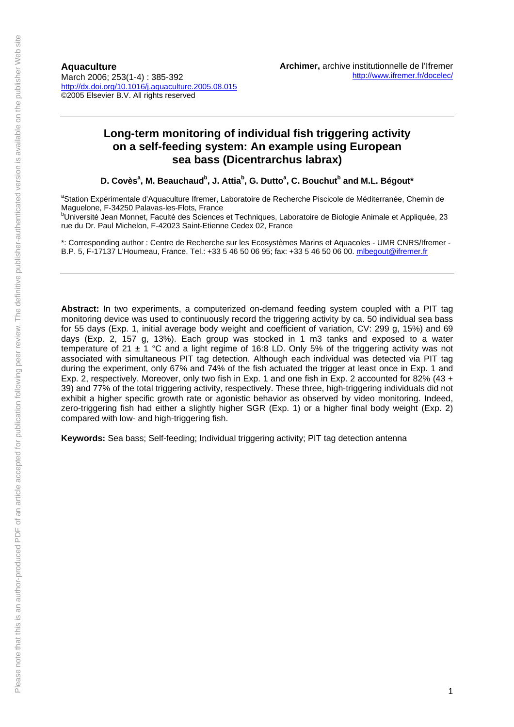**Aquaculture**  March 2006; 253(1-4) : 385-392 http://dx.doi.org/10.1016/j.aquaculture.2005.08.015 ©2005 Elsevier B.V. All rights reserved

# **Long-term monitoring of individual fish triggering activity on a self-feeding system: An example using European sea bass (Dicentrarchus labrax)**

D. Covès<sup>a</sup>, M. Beauchaud<sup>b</sup>, J. Attia<sup>b</sup>, G. Dutto<sup>a</sup>, C. Bouchut<sup>b</sup> and M.L. Bégout\*

<sup>a</sup>Station Expérimentale d'Aquaculture Ifremer, Laboratoire de Recherche Piscicole de Méditerranée, Chemin de Maguelone, F-34250 Palavas-les-Flots, France

<sup>b</sup>Université Jean Monnet, Faculté des Sciences et Techniques, Laboratoire de Biologie Animale et Appliquée, 23 rue du Dr. Paul Michelon, F-4[2023 Saint-Etienne Ced](mailto:mlbegout@ifremer.fr)ex 02, France

\*: Corresponding author : Centre de Recherche sur les Ecosystèmes Marins et Aquacoles - UMR CNRS/Ifremer - B.P. 5, F-17137 L'Houmeau, France. Tel.: +33 5 46 50 06 95; fax: +33 5 46 50 06 00. mlbegout@ifremer.fr

**Abstract:** In two experiments, a computerized on-demand feeding system coupled with a PIT tag monitoring device was used to continuously record the triggering activity by ca. 50 individual sea bass for 55 days (Exp. 1, initial average body weight and coefficient of variation, CV: 299 g, 15%) and 69 days (Exp. 2, 157 g, 13%). Each group was stocked in 1 m3 tanks and exposed to a water temperature of 21  $\pm$  1 °C and a light regime of 16:8 LD. Only 5% of the triggering activity was not associated with simultaneous PIT tag detection. Although each individual was detected via PIT tag during the experiment, only 67% and 74% of the fish actuated the trigger at least once in Exp. 1 and Exp. 2, respectively. Moreover, only two fish in Exp. 1 and one fish in Exp. 2 accounted for 82% (43 + 39) and 77% of the total triggering activity, respectively. These three, high-triggering individuals did not exhibit a higher specific growth rate or agonistic behavior as observed by video monitoring. Indeed, zero-triggering fish had either a slightly higher SGR (Exp. 1) or a higher final body weight (Exp. 2) compared with low- and high-triggering fish.

**Keywords:** Sea bass; Self-feeding; Individual triggering activity; PIT tag detection antenna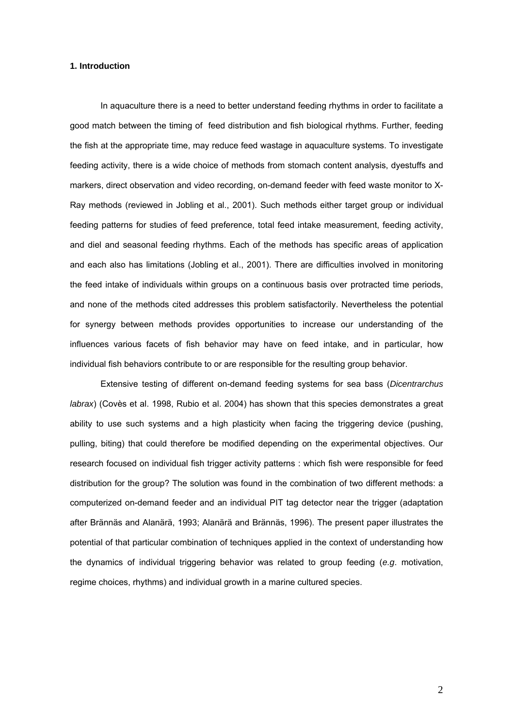### **1. Introduction**

In aquaculture there is a need to better understand feeding rhythms in order to facilitate a good match between the timing of feed distribution and fish biological rhythms. Further, feeding the fish at the appropriate time, may reduce feed wastage in aquaculture systems. To investigate feeding activity, there is a wide choice of methods from stomach content analysis, dyestuffs and markers, direct observation and video recording, on-demand feeder with feed waste monitor to X-Ray methods (reviewed in Jobling et al., 2001). Such methods either target group or individual feeding patterns for studies of feed preference, total feed intake measurement, feeding activity, and diel and seasonal feeding rhythms. Each of the methods has specific areas of application and each also has limitations (Jobling et al., 2001). There are difficulties involved in monitoring the feed intake of individuals within groups on a continuous basis over protracted time periods, and none of the methods cited addresses this problem satisfactorily. Nevertheless the potential for synergy between methods provides opportunities to increase our understanding of the influences various facets of fish behavior may have on feed intake, and in particular, how individual fish behaviors contribute to or are responsible for the resulting group behavior.

Extensive testing of different on-demand feeding systems for sea bass (*Dicentrarchus labrax*) (Covès et al. 1998, Rubio et al. 2004) has shown that this species demonstrates a great ability to use such systems and a high plasticity when facing the triggering device (pushing, pulling, biting) that could therefore be modified depending on the experimental objectives. Our research focused on individual fish trigger activity patterns : which fish were responsible for feed distribution for the group? The solution was found in the combination of two different methods: a computerized on-demand feeder and an individual PIT tag detector near the trigger (adaptation after Brännäs and Alanärä, 1993; Alanärä and Brännäs, 1996). The present paper illustrates the potential of that particular combination of techniques applied in the context of understanding how the dynamics of individual triggering behavior was related to group feeding (*e.g*. motivation, regime choices, rhythms) and individual growth in a marine cultured species.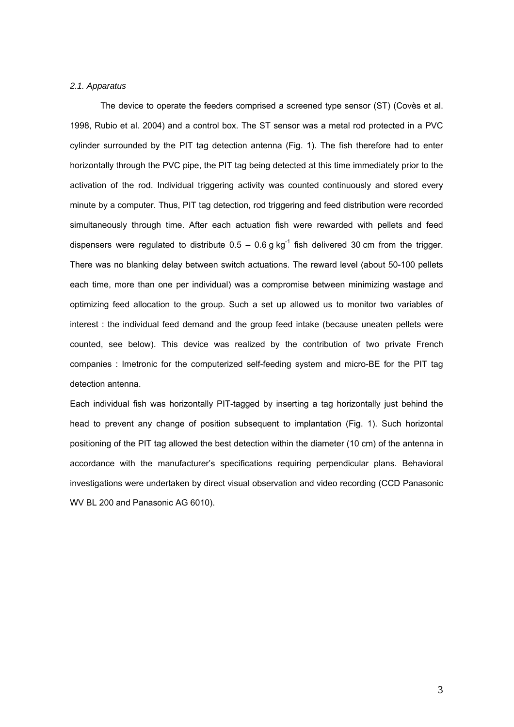# *2.1. Apparatus*

The device to operate the feeders comprised a screened type sensor (ST) (Covès et al. 1998, Rubio et al. 2004) and a control box. The ST sensor was a metal rod protected in a PVC cylinder surrounded by the PIT tag detection antenna (Fig. 1). The fish therefore had to enter horizontally through the PVC pipe, the PIT tag being detected at this time immediately prior to the activation of the rod. Individual triggering activity was counted continuously and stored every minute by a computer. Thus, PIT tag detection, rod triggering and feed distribution were recorded simultaneously through time. After each actuation fish were rewarded with pellets and feed dispensers were regulated to distribute  $0.5 - 0.6$  g kg<sup>-1</sup> fish delivered 30 cm from the trigger. There was no blanking delay between switch actuations. The reward level (about 50-100 pellets each time, more than one per individual) was a compromise between minimizing wastage and optimizing feed allocation to the group. Such a set up allowed us to monitor two variables of interest : the individual feed demand and the group feed intake (because uneaten pellets were counted, see below). This device was realized by the contribution of two private French companies : Imetronic for the computerized self-feeding system and micro-BE for the PIT tag detection antenna.

Each individual fish was horizontally PIT-tagged by inserting a tag horizontally just behind the head to prevent any change of position subsequent to implantation (Fig. 1). Such horizontal positioning of the PIT tag allowed the best detection within the diameter (10 cm) of the antenna in accordance with the manufacturer's specifications requiring perpendicular plans. Behavioral investigations were undertaken by direct visual observation and video recording (CCD Panasonic WV BL 200 and Panasonic AG 6010).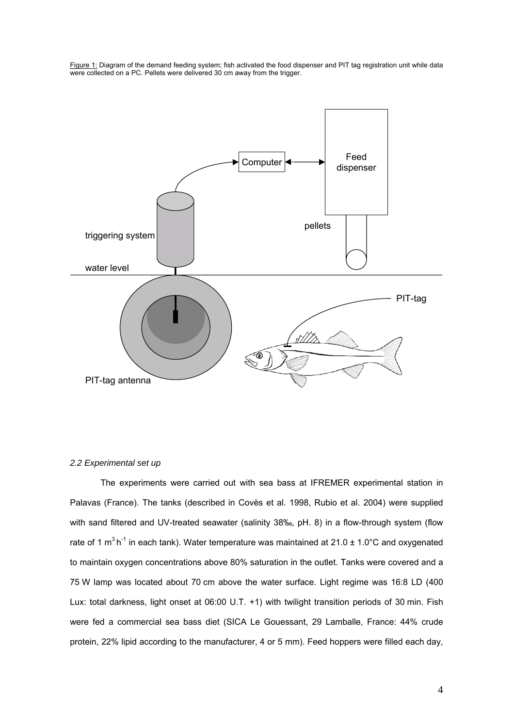Figure 1: Diagram of the demand feeding system; fish activated the food dispenser and PIT tag registration unit while data were collected on a PC. Pellets were delivered 30 cm away from the trigger.



# *2.2 Experimental set up*

The experiments were carried out with sea bass at IFREMER experimental station in Palavas (France). The tanks (described in Covès et al. 1998, Rubio et al. 2004) were supplied with sand filtered and UV-treated seawater (salinity 38‰, pH. 8) in a flow-through system (flow rate of 1  $m^3 h^{-1}$  in each tank). Water temperature was maintained at 21.0  $\pm$  1.0°C and oxygenated to maintain oxygen concentrations above 80% saturation in the outlet. Tanks were covered and a 75 W lamp was located about 70 cm above the water surface. Light regime was 16:8 LD (400 Lux: total darkness, light onset at 06:00 U.T. +1) with twilight transition periods of 30 min. Fish were fed a commercial sea bass diet (SICA Le Gouessant, 29 Lamballe, France: 44% crude protein, 22% lipid according to the manufacturer, 4 or 5 mm). Feed hoppers were filled each day,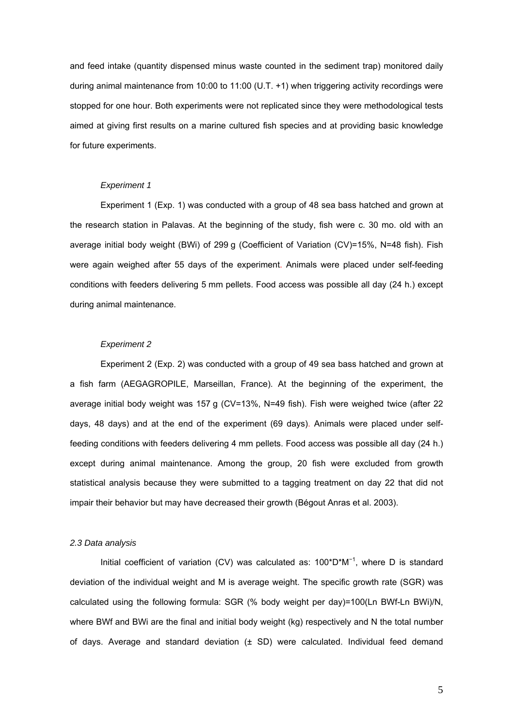and feed intake (quantity dispensed minus waste counted in the sediment trap) monitored daily during animal maintenance from 10:00 to 11:00 (U.T. +1) when triggering activity recordings were stopped for one hour. Both experiments were not replicated since they were methodological tests aimed at giving first results on a marine cultured fish species and at providing basic knowledge for future experiments.

# *Experiment 1*

Experiment 1 (Exp. 1) was conducted with a group of 48 sea bass hatched and grown at the research station in Palavas. At the beginning of the study, fish were c. 30 mo. old with an average initial body weight (BWi) of 299 g (Coefficient of Variation (CV)=15%, N=48 fish). Fish were again weighed after 55 days of the experiment. Animals were placed under self-feeding conditions with feeders delivering 5 mm pellets. Food access was possible all day (24 h.) except during animal maintenance.

### *Experiment 2*

Experiment 2 (Exp. 2) was conducted with a group of 49 sea bass hatched and grown at a fish farm (AEGAGROPILE, Marseillan, France). At the beginning of the experiment, the average initial body weight was 157 g (CV=13%, N=49 fish). Fish were weighed twice (after 22 days, 48 days) and at the end of the experiment (69 days). Animals were placed under selffeeding conditions with feeders delivering 4 mm pellets. Food access was possible all day (24 h.) except during animal maintenance. Among the group, 20 fish were excluded from growth statistical analysis because they were submitted to a tagging treatment on day 22 that did not impair their behavior but may have decreased their growth (Bégout Anras et al. 2003).

### *2.3 Data analysis*

Initial coefficient of variation (CV) was calculated as: 100\*D\*M<sup>-1</sup>, where D is standard deviation of the individual weight and M is average weight. The specific growth rate (SGR) was calculated using the following formula: SGR (% body weight per day)=100(Ln BWf-Ln BWi)/N, where BWf and BWi are the final and initial body weight (kg) respectively and N the total number of days. Average and standard deviation  $(± SD)$  were calculated. Individual feed demand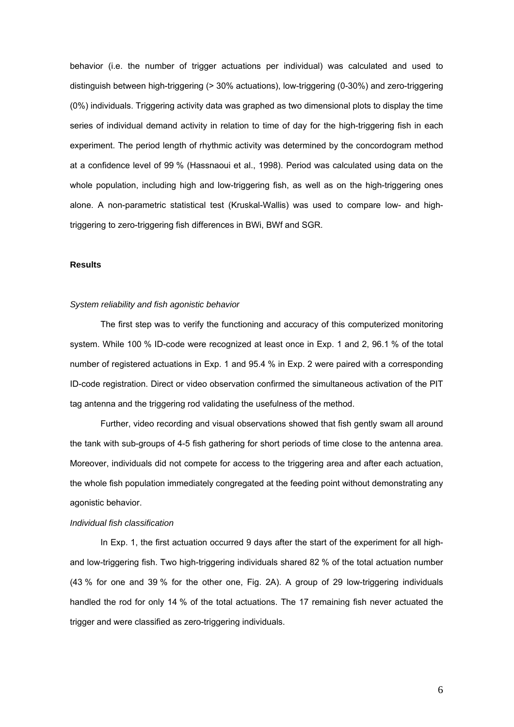behavior (i.e. the number of trigger actuations per individual) was calculated and used to distinguish between high-triggering (> 30% actuations), low-triggering (0-30%) and zero-triggering (0%) individuals. Triggering activity data was graphed as two dimensional plots to display the time series of individual demand activity in relation to time of day for the high-triggering fish in each experiment. The period length of rhythmic activity was determined by the concordogram method at a confidence level of 99 % (Hassnaoui et al., 1998). Period was calculated using data on the whole population, including high and low-triggering fish, as well as on the high-triggering ones alone. A non-parametric statistical test (Kruskal-Wallis) was used to compare low- and hightriggering to zero-triggering fish differences in BWi, BWf and SGR.

### **Results**

#### *System reliability and fish agonistic behavior*

The first step was to verify the functioning and accuracy of this computerized monitoring system. While 100 % ID-code were recognized at least once in Exp. 1 and 2, 96.1 % of the total number of registered actuations in Exp. 1 and 95.4 % in Exp. 2 were paired with a corresponding ID-code registration. Direct or video observation confirmed the simultaneous activation of the PIT tag antenna and the triggering rod validating the usefulness of the method.

Further, video recording and visual observations showed that fish gently swam all around the tank with sub-groups of 4-5 fish gathering for short periods of time close to the antenna area. Moreover, individuals did not compete for access to the triggering area and after each actuation, the whole fish population immediately congregated at the feeding point without demonstrating any agonistic behavior.

#### *Individual fish classification*

In Exp. 1, the first actuation occurred 9 days after the start of the experiment for all highand low-triggering fish. Two high-triggering individuals shared 82 % of the total actuation number (43 % for one and 39 % for the other one, Fig. 2A). A group of 29 low-triggering individuals handled the rod for only 14 % of the total actuations. The 17 remaining fish never actuated the trigger and were classified as zero-triggering individuals.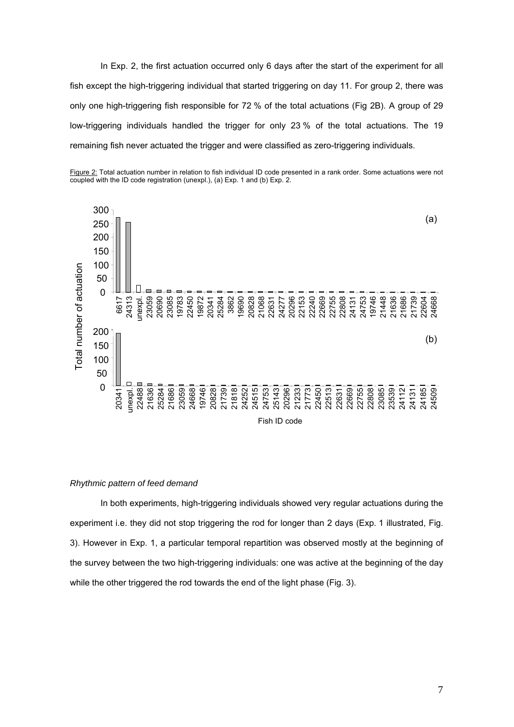In Exp. 2, the first actuation occurred only 6 days after the start of the experiment for all fish except the high-triggering individual that started triggering on day 11. For group 2, there was only one high-triggering fish responsible for 72 % of the total actuations (Fig 2B). A group of 29 low-triggering individuals handled the trigger for only 23 % of the total actuations. The 19 remaining fish never actuated the trigger and were classified as zero-triggering individuals.





# *Rhythmic pattern of feed demand*

In both experiments, high-triggering individuals showed very regular actuations during the experiment i.e. they did not stop triggering the rod for longer than 2 days (Exp. 1 illustrated, Fig. 3). However in Exp. 1, a particular temporal repartition was observed mostly at the beginning of the survey between the two high-triggering individuals: one was active at the beginning of the day while the other triggered the rod towards the end of the light phase (Fig. 3).

Fish ID code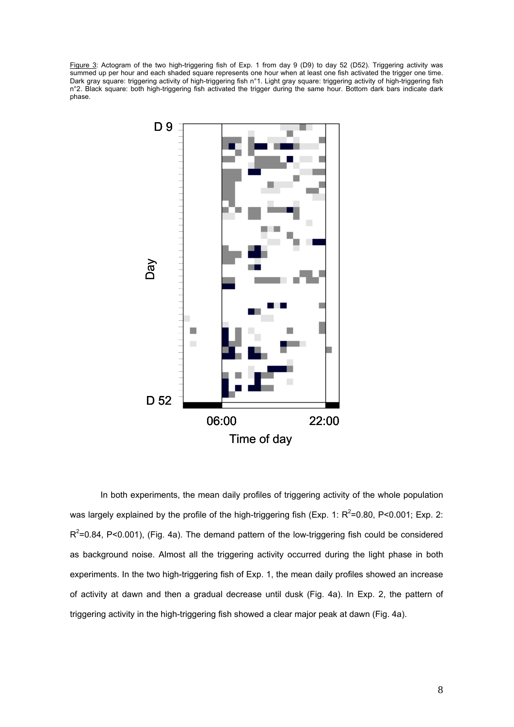Figure 3: Actogram of the two high-triggering fish of Exp. 1 from day 9 (D9) to day 52 (D52). Triggering activity was summed up per hour and each shaded square represents one hour when at least one fish activated the trigger one time. Dark gray square: triggering activity of high-triggering fish n°1. Light gray square: triggering activity of high-triggering fish n°2. Black square: both high-triggering fish activated the trigger during the same hour. Bottom dark bars indicate dark phase.



In both experiments, the mean daily profiles of triggering activity of the whole population was largely explained by the profile of the high-triggering fish (Exp. 1:  $R^2$ =0.80, P<0.001; Exp. 2:  $R^2$ =0.84, P<0.001), (Fig. 4a). The demand pattern of the low-triggering fish could be considered as background noise. Almost all the triggering activity occurred during the light phase in both experiments. In the two high-triggering fish of Exp. 1, the mean daily profiles showed an increase of activity at dawn and then a gradual decrease until dusk (Fig. 4a). In Exp. 2, the pattern of triggering activity in the high-triggering fish showed a clear major peak at dawn (Fig. 4a).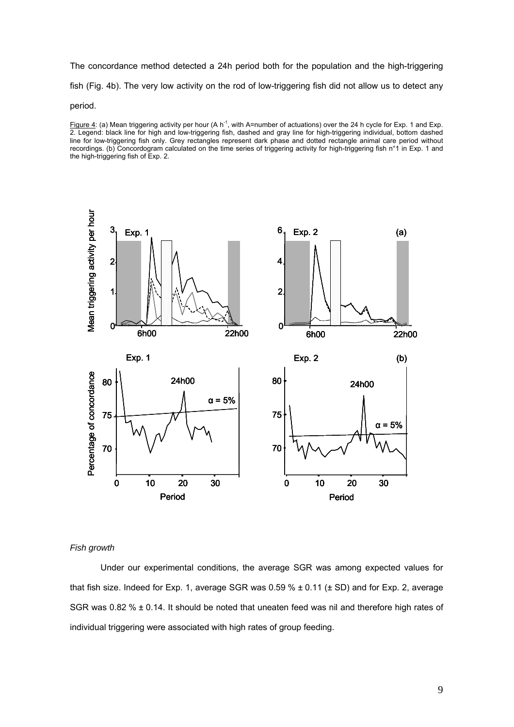The concordance method detected a 24h period both for the population and the high-triggering fish (Fig. 4b). The very low activity on the rod of low-triggering fish did not allow us to detect any

#### period.

Figure 4: (a) Mean triggering activity per hour (A  $h^{-1}$ , with A=number of actuations) over the 24 h cycle for Exp. 1 and Exp. 2. Legend: black line for high and low-triggering fish, dashed and gray line for high-triggering individual, bottom dashed line for low-triggering fish only. Grey rectangles represent dark phase and dotted rectangle animal care period without recordings. (b) Concordogram calculated on the time series of triggering activity for high-triggering fish n°1 in Exp. 1 and the high-triggering fish of Exp. 2.



### *Fish growth*

Under our experimental conditions, the average SGR was among expected values for that fish size. Indeed for Exp. 1, average SGR was  $0.59\% \pm 0.11$  ( $\pm$  SD) and for Exp. 2, average SGR was 0.82 %  $\pm$  0.14. It should be noted that uneaten feed was nil and therefore high rates of individual triggering were associated with high rates of group feeding.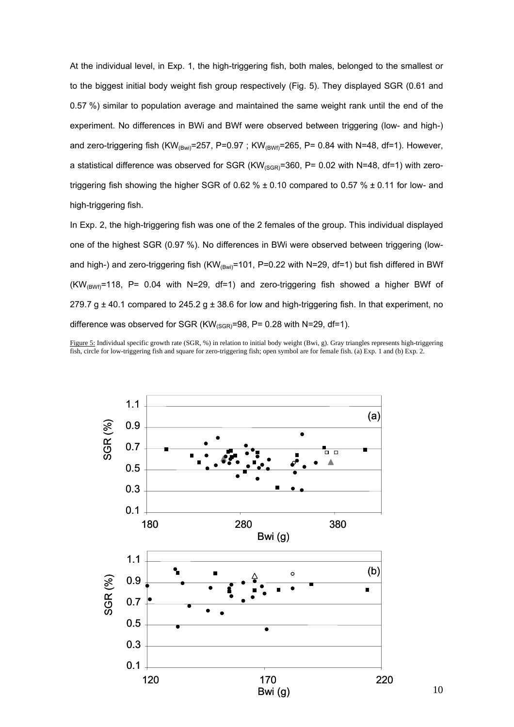At the individual level, in Exp. 1, the high-triggering fish, both males, belonged to the smallest or to the biggest initial body weight fish group respectively (Fig. 5). They displayed SGR (0.61 and 0.57 %) similar to population average and maintained the same weight rank until the end of the experiment. No differences in BWi and BWf were observed between triggering (low- and high-) and zero-triggering fish (KW<sub>(Bwi)</sub>=257, P=0.97; KW<sub>(BWf)</sub>=265, P= 0.84 with N=48, df=1). However, a statistical difference was observed for SGR  $(KW_{(SGR)}=360, P= 0.02$  with N=48, df=1) with zerotriggering fish showing the higher SGR of 0.62 %  $\pm$  0.10 compared to 0.57 %  $\pm$  0.11 for low- and high-triggering fish.

In Exp. 2, the high-triggering fish was one of the 2 females of the group. This individual displayed one of the highest SGR (0.97 %). No differences in BWi were observed between triggering (lowand high-) and zero-triggering fish (KW<sub>(Bwi)</sub>=101, P=0.22 with N=29, df=1) but fish differed in BWf  $(KW_{/BWf}$ =118, P= 0.04 with N=29, df=1) and zero-triggering fish showed a higher BWf of 279.7 g  $\pm$  40.1 compared to 245.2 g  $\pm$  38.6 for low and high-triggering fish. In that experiment, no difference was observed for SGR ( $KW_{(SGR)}=98$ , P= 0.28 with N=29, df=1).

Figure 5: Individual specific growth rate (SGR, %) in relation to initial body weight (Bwi, g). Gray triangles represents high-triggering fish, circle for low-triggering fish and square for zero-triggering fish; open symbol are for female fish. (a) Exp. 1 and (b) Exp. 2.

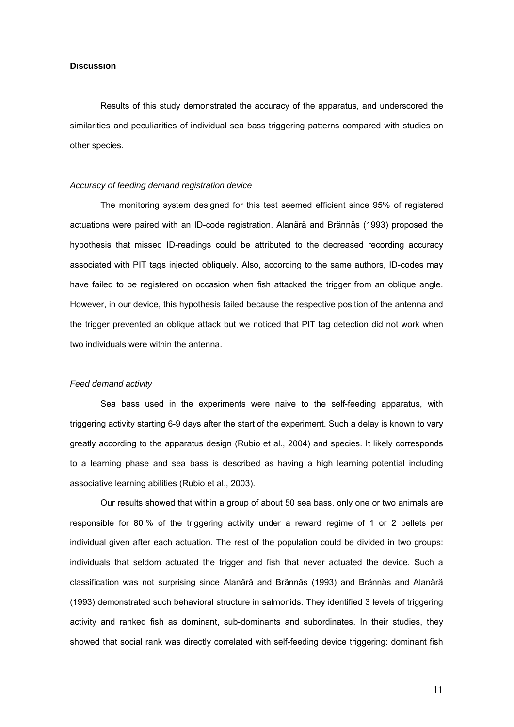### **Discussion**

Results of this study demonstrated the accuracy of the apparatus, and underscored the similarities and peculiarities of individual sea bass triggering patterns compared with studies on other species.

# *Accuracy of feeding demand registration device*

The monitoring system designed for this test seemed efficient since 95% of registered actuations were paired with an ID-code registration. Alanärä and Brännäs (1993) proposed the hypothesis that missed ID-readings could be attributed to the decreased recording accuracy associated with PIT tags injected obliquely. Also, according to the same authors, ID-codes may have failed to be registered on occasion when fish attacked the trigger from an oblique angle. However, in our device, this hypothesis failed because the respective position of the antenna and the trigger prevented an oblique attack but we noticed that PIT tag detection did not work when two individuals were within the antenna.

# *Feed demand activity*

Sea bass used in the experiments were naive to the self-feeding apparatus, with triggering activity starting 6-9 days after the start of the experiment. Such a delay is known to vary greatly according to the apparatus design (Rubio et al., 2004) and species. It likely corresponds to a learning phase and sea bass is described as having a high learning potential including associative learning abilities (Rubio et al., 2003).

Our results showed that within a group of about 50 sea bass, only one or two animals are responsible for 80 % of the triggering activity under a reward regime of 1 or 2 pellets per individual given after each actuation. The rest of the population could be divided in two groups: individuals that seldom actuated the trigger and fish that never actuated the device. Such a classification was not surprising since Alanärä and Brännäs (1993) and Brännäs and Alanärä (1993) demonstrated such behavioral structure in salmonids. They identified 3 levels of triggering activity and ranked fish as dominant, sub-dominants and subordinates. In their studies, they showed that social rank was directly correlated with self-feeding device triggering: dominant fish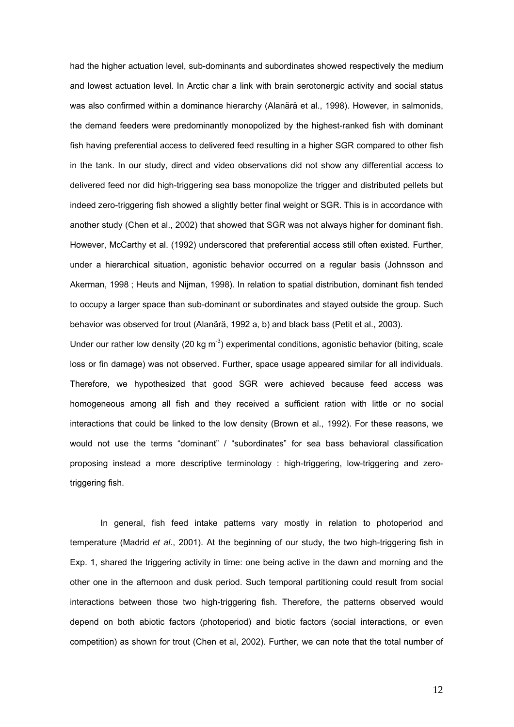had the higher actuation level, sub-dominants and subordinates showed respectively the medium and lowest actuation level. In Arctic char a link with brain serotonergic activity and social status was also confirmed within a dominance hierarchy (Alanärä et al., 1998). However, in salmonids, the demand feeders were predominantly monopolized by the highest-ranked fish with dominant fish having preferential access to delivered feed resulting in a higher SGR compared to other fish in the tank. In our study, direct and video observations did not show any differential access to delivered feed nor did high-triggering sea bass monopolize the trigger and distributed pellets but indeed zero-triggering fish showed a slightly better final weight or SGR. This is in accordance with another study (Chen et al., 2002) that showed that SGR was not always higher for dominant fish. However, McCarthy et al. (1992) underscored that preferential access still often existed. Further, under a hierarchical situation, agonistic behavior occurred on a regular basis (Johnsson and Akerman, 1998 ; Heuts and Nijman, 1998). In relation to spatial distribution, dominant fish tended to occupy a larger space than sub-dominant or subordinates and stayed outside the group. Such behavior was observed for trout (Alanärä, 1992 a, b) and black bass (Petit et al., 2003).

Under our rather low density (20 kg  $m^{-3}$ ) experimental conditions, agonistic behavior (biting, scale loss or fin damage) was not observed. Further, space usage appeared similar for all individuals. Therefore, we hypothesized that good SGR were achieved because feed access was homogeneous among all fish and they received a sufficient ration with little or no social interactions that could be linked to the low density (Brown et al., 1992). For these reasons, we would not use the terms "dominant" / "subordinates" for sea bass behavioral classification proposing instead a more descriptive terminology : high-triggering, low-triggering and zerotriggering fish.

In general, fish feed intake patterns vary mostly in relation to photoperiod and temperature (Madrid *et al*., 2001). At the beginning of our study, the two high-triggering fish in Exp. 1, shared the triggering activity in time: one being active in the dawn and morning and the other one in the afternoon and dusk period. Such temporal partitioning could result from social interactions between those two high-triggering fish. Therefore, the patterns observed would depend on both abiotic factors (photoperiod) and biotic factors (social interactions, or even competition) as shown for trout (Chen et al, 2002). Further, we can note that the total number of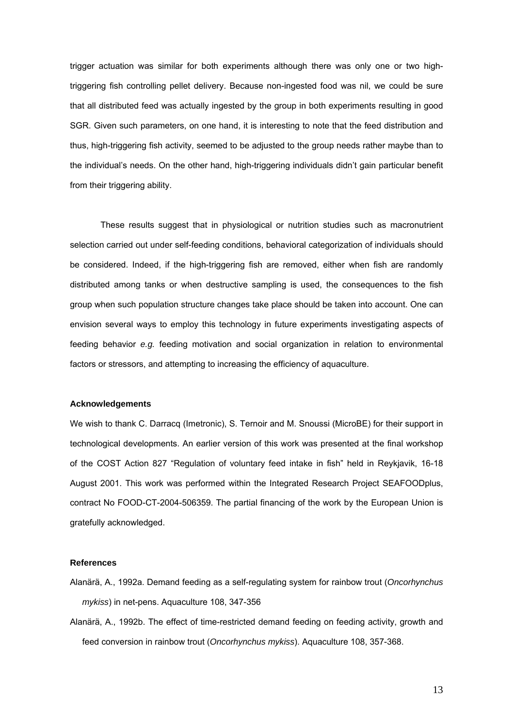trigger actuation was similar for both experiments although there was only one or two hightriggering fish controlling pellet delivery. Because non-ingested food was nil, we could be sure that all distributed feed was actually ingested by the group in both experiments resulting in good SGR. Given such parameters, on one hand, it is interesting to note that the feed distribution and thus, high-triggering fish activity, seemed to be adjusted to the group needs rather maybe than to the individual's needs. On the other hand, high-triggering individuals didn't gain particular benefit from their triggering ability.

These results suggest that in physiological or nutrition studies such as macronutrient selection carried out under self-feeding conditions, behavioral categorization of individuals should be considered. Indeed, if the high-triggering fish are removed, either when fish are randomly distributed among tanks or when destructive sampling is used, the consequences to the fish group when such population structure changes take place should be taken into account. One can envision several ways to employ this technology in future experiments investigating aspects of feeding behavior *e.g.* feeding motivation and social organization in relation to environmental factors or stressors, and attempting to increasing the efficiency of aquaculture.

### **Acknowledgements**

We wish to thank C. Darracq (Imetronic), S. Ternoir and M. Snoussi (MicroBE) for their support in technological developments. An earlier version of this work was presented at the final workshop of the COST Action 827 "Regulation of voluntary feed intake in fish" held in Reykjavik, 16-18 August 2001. This work was performed within the Integrated Research Project SEAFOODplus, contract No FOOD-CT-2004-506359. The partial financing of the work by the European Union is gratefully acknowledged.

# **References**

- Alanärä, A., 1992a. Demand feeding as a self-regulating system for rainbow trout (*Oncorhynchus mykiss*) in net-pens. Aquaculture 108, 347-356
- Alanärä, A., 1992b. The effect of time-restricted demand feeding on feeding activity, growth and feed conversion in rainbow trout (*Oncorhynchus mykiss*). Aquaculture 108, 357-368.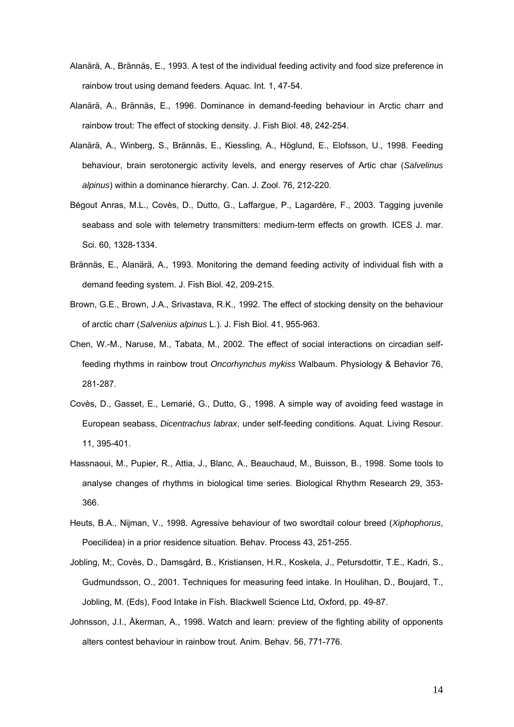- Alanärä, A., Brännäs, E., 1993. A test of the individual feeding activity and food size preference in rainbow trout using demand feeders. Aquac. Int. 1, 47-54.
- Alanärä, A., Brännäs, E., 1996. Dominance in demand-feeding behaviour in Arctic charr and rainbow trout: The effect of stocking density. J. Fish Biol. 48, 242-254.
- Alanärä, A., Winberg, S., Brännäs, E., Kiessling, A., Höglund, E., Elofsson, U., 1998. Feeding behaviour, brain serotonergic activity levels, and energy reserves of Artic char (*Salvelinus alpinus*) within a dominance hierarchy. Can. J. Zool. 76, 212-220.
- Bégout Anras, M.L., Covès, D., Dutto, G., Laffargue, P., Lagardère, F., 2003. Tagging juvenile seabass and sole with telemetry transmitters: medium-term effects on growth. ICES J. mar. Sci. 60, 1328-1334.
- Brännäs, E., Alanärä, A., 1993. Monitoring the demand feeding activity of individual fish with a demand feeding system. J. Fish Biol. 42, 209-215.
- Brown, G.E., Brown, J.A., Srivastava, R.K., 1992. The effect of stocking density on the behaviour of arctic charr (*Salvenius alpinus* L.). J. Fish Biol. 41, 955-963.
- Chen, W.-M., Naruse, M., Tabata, M., 2002. The effect of social interactions on circadian selffeeding rhythms in rainbow trout *Oncorhynchus mykiss* Walbaum. Physiology & Behavior 76, 281-287.
- Covès, D., Gasset, E., Lemarié, G., Dutto, G., 1998. A simple way of avoiding feed wastage in European seabass, *Dicentrachus labrax*, under self-feeding conditions. Aquat. Living Resour. 11, 395-401.
- Hassnaoui, M., Pupier, R., Attia, J., Blanc, A., Beauchaud, M., Buisson, B., 1998. Some tools to analyse changes of rhythms in biological time series. Biological Rhythm Research 29, 353- 366.
- Heuts, B.A., Nijman, V., 1998. Agressive behaviour of two swordtail colour breed (*Xiphophorus*, Poecilidea) in a prior residence situation. Behav. Process 43, 251-255.
- Jobling, M;, Covès, D., Damsgård, B., Kristiansen, H.R., Koskela, J., Petursdottir, T.E., Kadri, S., Gudmundsson, O., 2001. Techniques for measuring feed intake. In Houlihan, D., Boujard, T., Jobling, M. (Eds), Food Intake in Fish. Blackwell Science Ltd, Oxford, pp. 49-87.
- Johnsson, J.I., Åkerman, A., 1998. Watch and learn: preview of the fighting ability of opponents alters contest behaviour in rainbow trout. Anim. Behav. 56, 771-776.